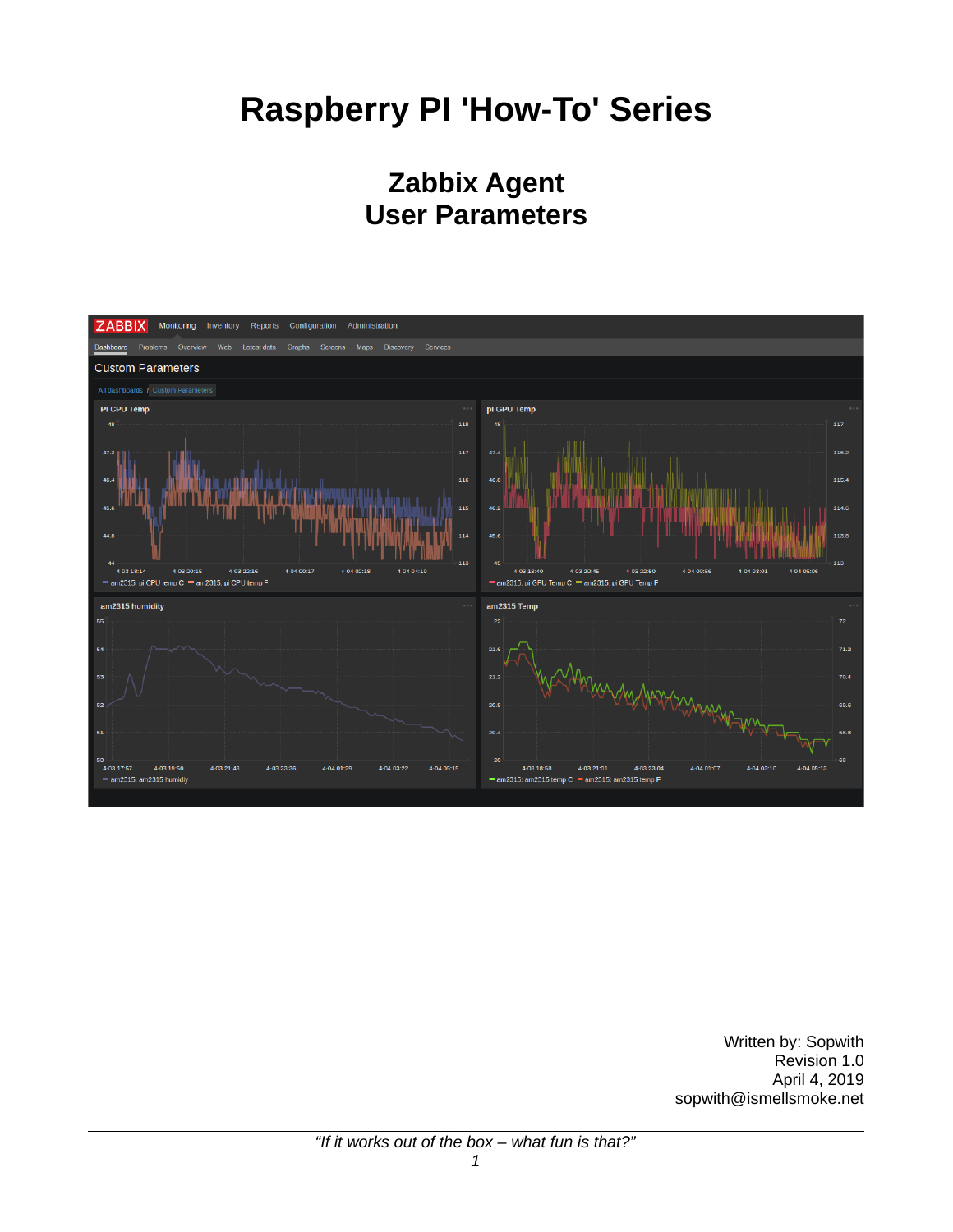# **Raspberry PI 'How-To' Series**

# **Zabbix Agent User Parameters**



Written by: Sopwith Revision 1.0 April 4, 2019 sopwith@ismellsmoke.net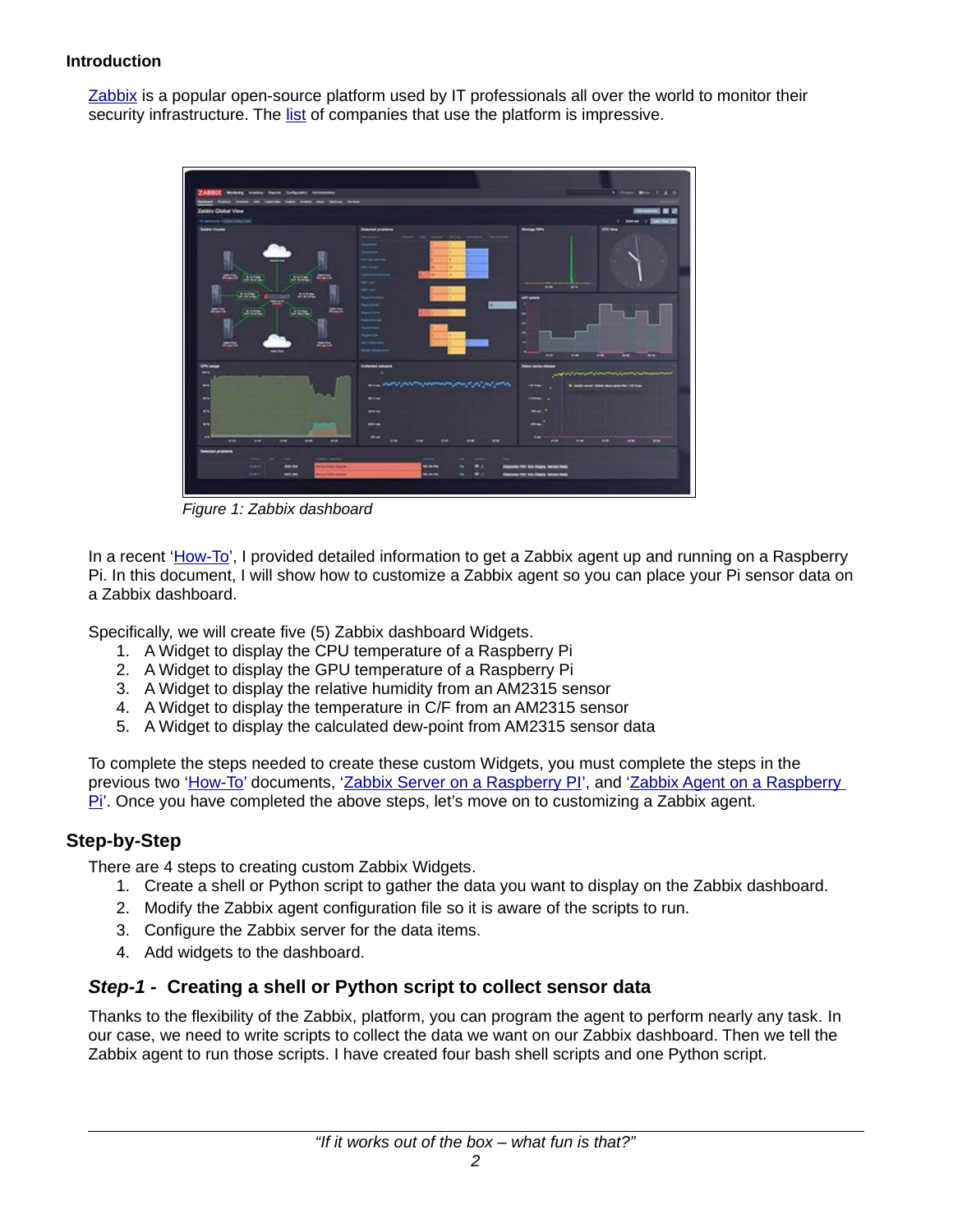#### **Introduction**

[Zabbix](https://www.zabbix.com/) is a popular open-source platform used by IT professionals all over the world to monitor their security infrastructure. The [list](https://www.zabbix.com/users) of companies that use the platform is impressive.



*Figure 1: Zabbix dashboard*

In a recent ['How-To'](http://ismellsmoke.net/?p=805), I provided detailed information to get a Zabbix agent up and running on a Raspberry Pi. In this document, I will show how to customize a Zabbix agent so you can place your Pi sensor data on a Zabbix dashboard.

Specifically, we will create five (5) Zabbix dashboard Widgets.

- 1. A Widget to display the CPU temperature of a Raspberry Pi
- 2. A Widget to display the GPU temperature of a Raspberry Pi
- 3. A Widget to display the relative humidity from an AM2315 sensor
- 4. A Widget to display the temperature in C/F from an AM2315 sensor
- 5. A Widget to display the calculated dew-point from AM2315 sensor data

To complete the steps needed to create these custom Widgets, you must complete the steps in the previous two ['How-To'](http://ismellsmoke.net/?page_id=12) documents, ['Zabbix Server on a Raspberry PI'](http://ismellsmoke.net/?p=787), and 'Zabbix Agent on a Raspberry  $\overline{PI}$ . Once you have completed the above steps, let's move on to customizing a Zabbix agent.

#### **Step-by-Step**

There are 4 steps to creating custom Zabbix Widgets.

- 1. Create a shell or Python script to gather the data you want to display on the Zabbix dashboard.
- 2. Modify the Zabbix agent configuration file so it is aware of the scripts to run.
- 3. Configure the Zabbix server for the data items.
- 4. Add widgets to the dashboard.

#### *Step-1 -* **Creating a shell or Python script to collect sensor data**

Thanks to the flexibility of the Zabbix, platform, you can program the agent to perform nearly any task*.* In our case, we need to write scripts to collect the data we want on our Zabbix dashboard. Then we tell the Zabbix agent to run those scripts. I have created four bash shell scripts and one Python script.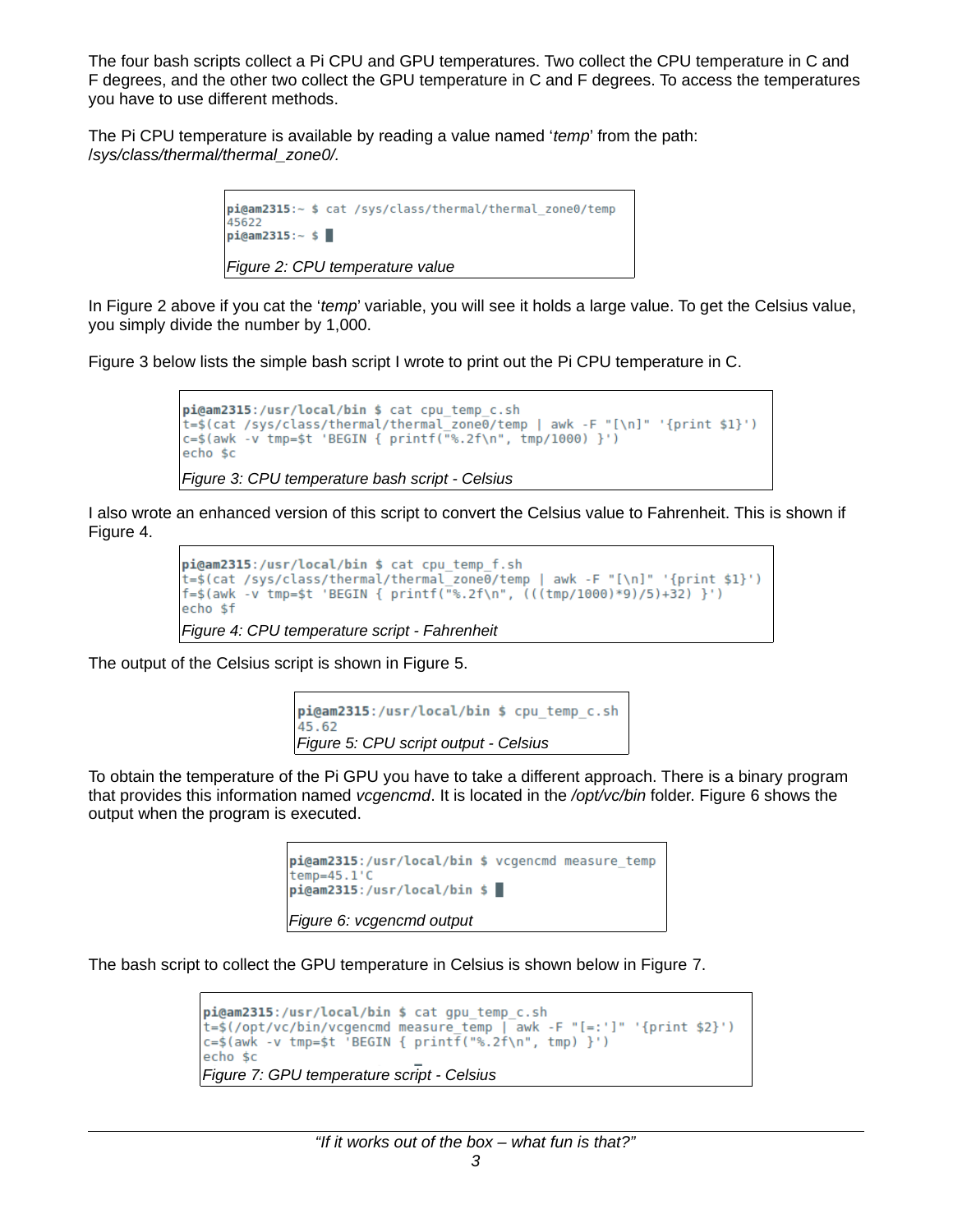The four bash scripts collect a Pi CPU and GPU temperatures. Two collect the CPU temperature in C and F degrees, and the other two collect the GPU temperature in C and F degrees. To access the temperatures you have to use different methods.

The Pi CPU temperature is available by reading a value named '*temp*' from the path: /*sys/class/thermal/thermal\_zone0/.* 

<span id="page-2-0"></span>

In Figure [2](#page-2-0) above if you cat the '*temp*' variable, you will see it holds a large value. To get the Celsius value, you simply divide the number by 1,000.

Figure [3](#page-2-5) below lists the simple bash script I wrote to print out the Pi CPU temperature in C.

```
pi@am2315:/usr/local/bin $ cat cpu temp c.sh
t=$(cat /sys/class/thermal/thermal zone0/temp | awk -F "[\n]" '{print $1}')
c = $(awk - v \tmtext{tmp} = $t 'BEGIN {\print}("% . 2f \n', \tmtext{tmp/1000})'})echo $c
Figure 3: CPU temperature bash script - Celsius
```
I also wrote an enhanced version of this script to convert the Celsius value to Fahrenheit. This is shown if Figure [4.](#page-2-4)

```
pi@am2315:/usr/local/bin $ cat cpu_temp_f.sh
t=$(cat /sys/class/thermal/thermal zone0/temp | awk -F "[\n]" '{print $1}')
f = \frac{\sinh(\pi)}{\sinh(\pi)} + \sinh(\pi) + \sinh(\pi) + \sinh(\pi) + \sinh(\pi) + \sinh(\pi) + \sinh(\pi) + \sinh(\pi) + \sinh(\pi) + \sinh(\pi) + \sinh(\pi) + \sinh(\pi) + \sinh(\pi) + \sinh(\pi) + \sinh(\pi) + \sinh(\pi) + \sinh(\pi) + \sinh(\pi) + \sinh(\pi) + \echo $f
Figure 4: CPU temperature script - Fahrenheit
```
The output of the Celsius script is shown in Figure [5.](#page-2-3)

```
pi@am2315:/usr/local/bin $ cpu temp c.sh
45.62
Figure 5: CPU script output - Celsius
```
To obtain the temperature of the Pi GPU you have to take a different approach. There is a binary program that provides this information named *vcgencmd*. It is located in the */opt/vc/bin* folder. Figure [6](#page-2-2) shows the output when the program is executed.

```
pi@am2315:/usr/local/bin $ vcgencmd measure temp
temp=45.1'C
pi@am2315:/usr/local/bin $
Figure 6: vcgencmd output
```
The bash script to collect the GPU temperature in Celsius is shown below in Figure [7.](#page-2-1)

```
pi@am2315:/usr/local/bin $ cat gpu temp c.sh
t=$(/opt/vc/bin/vcgencmd measure_temp | awk -F "[=:']" '{print $2}')<br>c=$(awk -v tmp=$t 'BEGIN { printf("%.2f\n", tmp) }')
echo $c
Figure 7: GPU temperature script - Celsius
```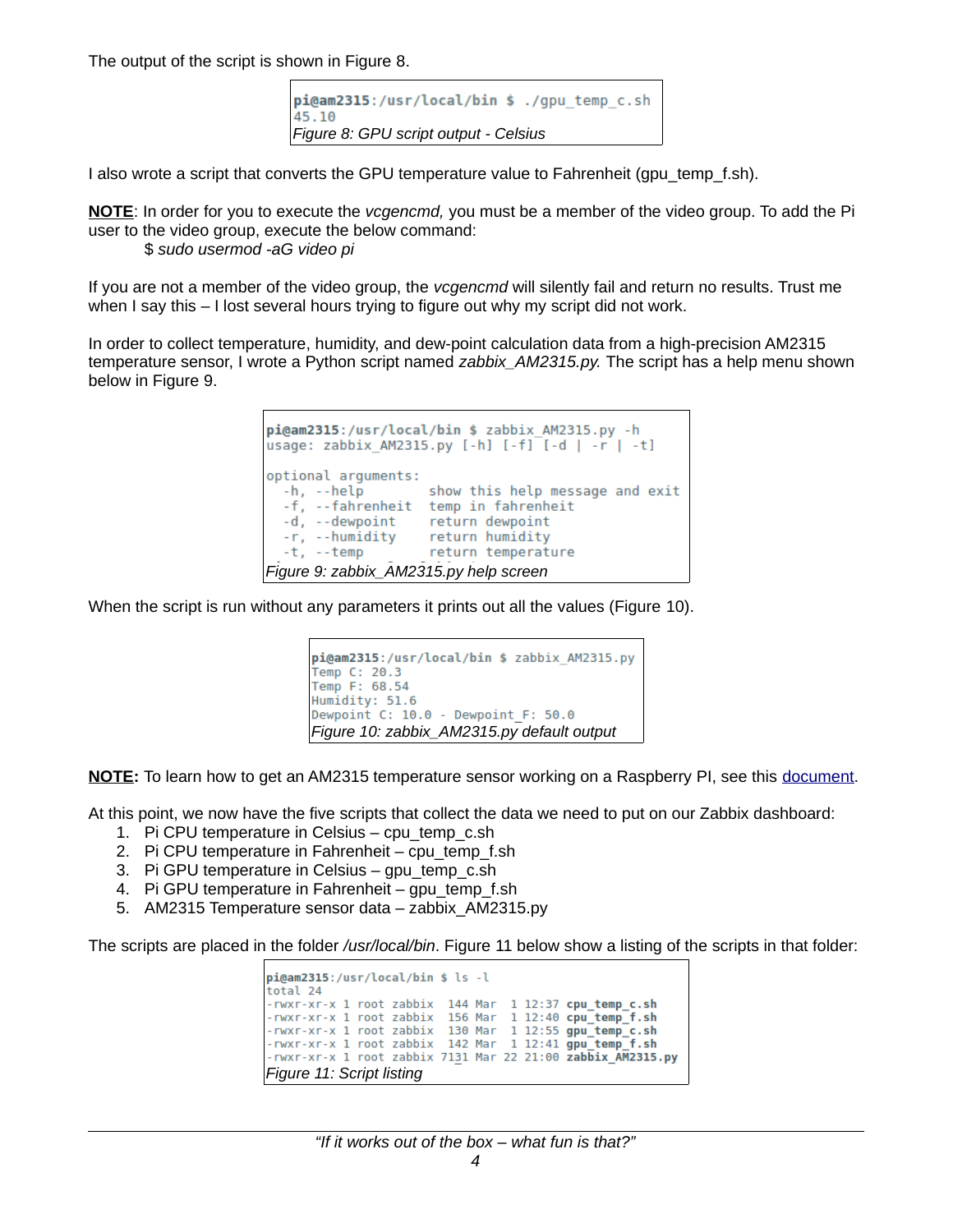The output of the script is shown in Figure [8.](#page-3-3)

```
pi@am2315:/usr/local/bin $ ./qpu temp c.sh
45.10
Figure 8: GPU script output - Celsius
```
I also wrote a script that converts the GPU temperature value to Fahrenheit (qpu\_temp\_f.sh).

**NOTE**: In order for you to execute the *vcgencmd,* you must be a member of the video group. To add the Pi user to the video group, execute the below command:

\$ *sudo usermod -aG video pi*

If you are not a member of the video group, the *vcgencmd* will silently fail and return no results. Trust me when I say this – I lost several hours trying to figure out why my script did not work.

In order to collect temperature, humidity, and dew-point calculation data from a high-precision AM2315 temperature sensor, I wrote a Python script named *zabbix\_AM2315.py.* The script has a help menu shown below in Figure [9.](#page-3-2)

```
pi@am2315:/usr/local/bin $ zabbix AM2315.py -h
usage: zabbix AM2315.py [-h] [-f] [-d | -r | -t]
optional arguments:
 -h, -helpshow this help message and exit
  -f, --fahrenheit temp in fahrenheit
  -d, --dewpoint
                   return dewpoint
 -r, --humidity
                   return humidity
  -t, -tempreturn temperature
Figure 9: zabbix_AM2315.py help screen
```
When the script is run without any parameters it prints out all the values (Figure [10\)](#page-3-1).

```
pi@am2315:/usr/local/bin $ zabbix AM2315.py
Temp C: 20.3
Temp F: 68.54
Humidity: 51.6
Dewpoint C: 10.0 - Dewpoint F: 50.0
Figure 10: zabbix_AM2315.py default output
```
**NOTE:** To learn how to get an AM2315 temperature sensor working on a Raspberry PI, see this [document.](http://ismellsmoke.net//?smd_process_download=1&download_id=749)

At this point, we now have the five scripts that collect the data we need to put on our Zabbix dashboard:

- 1. Pi CPU temperature in Celsius cpu\_temp\_c.sh
- 2. Pi CPU temperature in Fahrenheit cpu\_temp\_f.sh
- 3. Pi GPU temperature in Celsius gpu\_temp\_c.sh
- 4. Pi GPU temperature in Fahrenheit gpu\_temp\_f.sh
- 5. AM2315 Temperature sensor data zabbix\_AM2315.py

The scripts are placed in the folder */usr/local/bin*. Figure [11](#page-3-0) below show a listing of the scripts in that folder:

```
pi@am2315:/usr/local/bin $ ls -l
total 24
-rwxr-xr-x 1 root zabbix 144 Mar 1 12:37 cpu_temp_c.sh<br>-rwxr-xr-x 1 root zabbix 156 Mar 1 12:40 cpu_temp_f.sh
                                                   1 12:40 cpu_temp_f.sh
-rwxr-xr-x 1 root zabbix 130 Mar 1 12:55 gpu temp c.sh
-rwxr-xr-x 1 root zabbix   142 Mar   1 12:41 gpu_temp_f.sh<br>-rwxr-xr-x 1 root zabbix 7131 Mar 22 21:00 zabbix AM2315.py
Figure 11: Script listing
```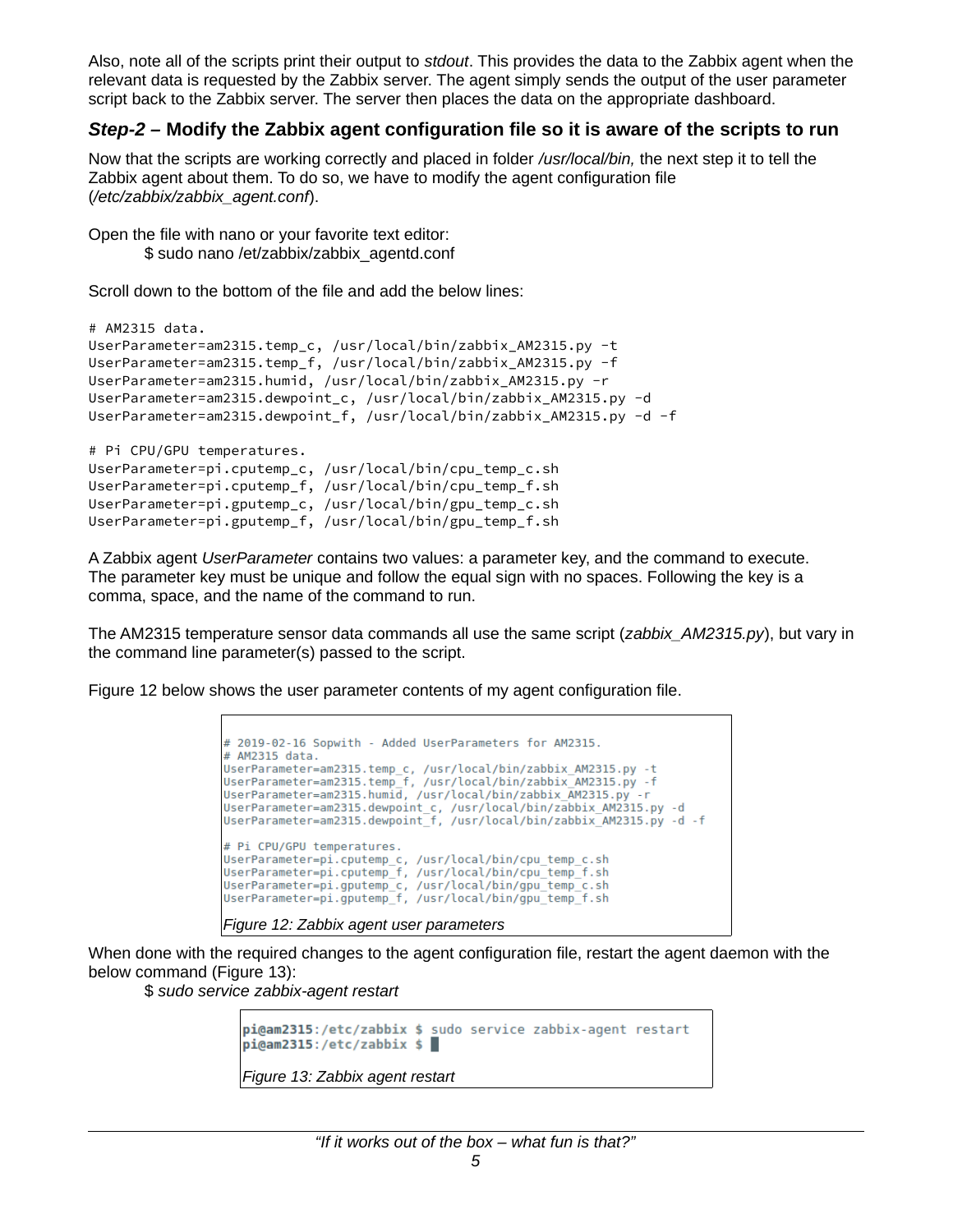Also, note all of the scripts print their output to *stdout*. This provides the data to the Zabbix agent when the relevant data is requested by the Zabbix server. The agent simply sends the output of the user parameter script back to the Zabbix server. The server then places the data on the appropriate dashboard.

#### *Step-2 –* **Modify the Zabbix agent configuration file so it is aware of the scripts to run**

Now that the scripts are working correctly and placed in folder */usr/local/bin,* the next step it to tell the Zabbix agent about them. To do so, we have to modify the agent configuration file (*/etc/zabbix/zabbix\_agent.conf*).

Open the file with nano or your favorite text editor: \$ sudo nano /et/zabbix/zabbix\_agentd.conf

Scroll down to the bottom of the file and add the below lines:

```
# AM2315 data.
UserParameter=am2315.temp_c, /usr/local/bin/zabbix_AM2315.py -t
UserParameter=am2315.temp_f, /usr/local/bin/zabbix_AM2315.py -f
UserParameter=am2315.humid, /usr/local/bin/zabbix_AM2315.py -r
UserParameter=am2315.dewpoint_c, /usr/local/bin/zabbix_AM2315.py -d
UserParameter=am2315.dewpoint_f, /usr/local/bin/zabbix_AM2315.py -d -f
# Pi CPU/GPU temperatures.
UserParameter=pi.cputemp_c, /usr/local/bin/cpu_temp_c.sh
UserParameter=pi.cputemp_f, /usr/local/bin/cpu_temp_f.sh
UserParameter=pi.gputemp_c, /usr/local/bin/gpu_temp_c.sh
UserParameter=pi.gputemp_f, /usr/local/bin/gpu_temp_f.sh
```
A Zabbix agent *UserParameter* contains two values: a parameter key, and the command to execute. The parameter key must be unique and follow the equal sign with no spaces. Following the key is a comma, space, and the name of the command to run.

The AM2315 temperature sensor data commands all use the same script (*zabbix\_AM2315.py*), but vary in the command line parameter(s) passed to the script.

Figure [12](#page-4-1) below shows the user parameter contents of my agent configuration file.

```
# 2019-02-16 Sopwith - Added UserParameters for AM2315.
# AM2315 data.
UserParameter=am2315.temp_c, /usr/local/bin/zabbix_AM2315.py -t
UserParameter=am2315.temp_f, /usr/local/bin/zabbix_AM2315.py -f<br>UserParameter=am2315.temp_f, /usr/local/bin/zabbix_AM2315.py -f
UserParameter=am2315.dewpoint_c, /usr/local/bin/zabbix_AM2315.py -d<br>UserParameter=am2315.dewpoint_f, /usr/local/bin/zabbix_AM2315.py -d -f
# Pi CPU/GPU temperatures.
UserParameter=pi.cputemp_c, /usr/local/bin/cpu_temp_c.sh
UserParameter=pi.cputemp_f, /usr/local/bin/cpu_temp_f.sh<br>UserParameter=pi.cputemp_f, /usr/local/bin/cpu_temp_f.sh<br>UserParameter=pi.gputemp_c, /usr/local/bin/gpu_temp_c.sh
UserParameter=pi.gputemp_f, /usr/local/bin/gpu_temp_f.sh
Figure 12: Zabbix agent user parameters
```
When done with the required changes to the agent configuration file, restart the agent daemon with the below command (Figure [13\)](#page-4-0):

\$ *sudo service zabbix-agent restart*

```
pi@am2315:/etc/zabbix $ sudo service zabbix-agent restart
pi@am2315:/etc/zabbix $
Figure 13: Zabbix agent restart
```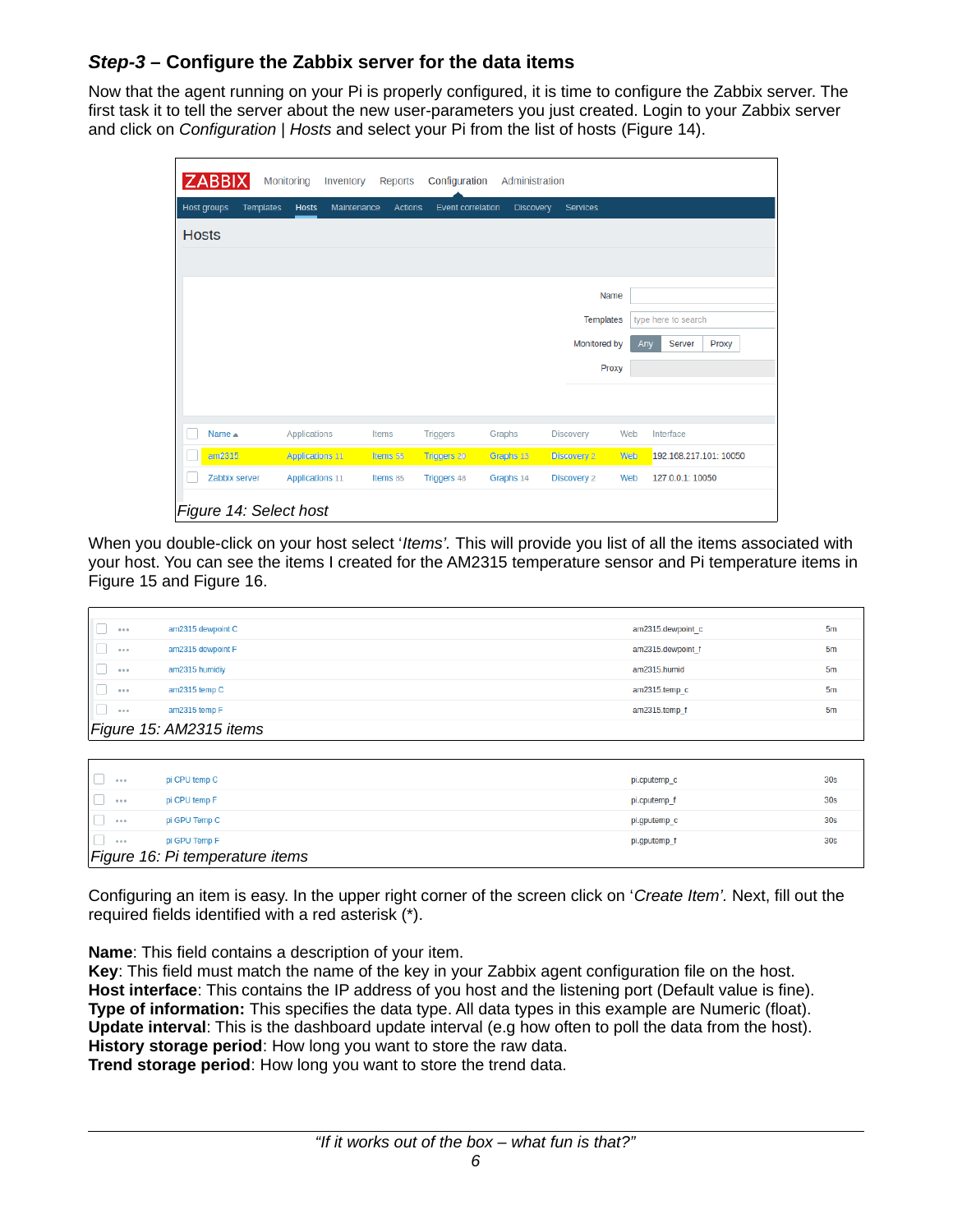### *Step-3 –* **Configure the Zabbix server for the data items**

Now that the agent running on your Pi is properly configured, it is time to configure the Zabbix server. The first task it to tell the server about the new user-parameters you just created. Login to your Zabbix server and click on *Configuration* | *Hosts* and select your Pi from the list of hosts (Figure [14\)](#page-5-2).

|              | <b>ZABBIX</b>          | Monitoring                       | Inventory   | <b>Reports</b> | Configuration            | Administration   |                    |     |                        |
|--------------|------------------------|----------------------------------|-------------|----------------|--------------------------|------------------|--------------------|-----|------------------------|
|              | Host groups            | <b>Templates</b><br><b>Hosts</b> | Maintenance | <b>Actions</b> | <b>Event correlation</b> | <b>Discovery</b> | <b>Services</b>    |     |                        |
| <b>Hosts</b> |                        |                                  |             |                |                          |                  |                    |     |                        |
|              |                        |                                  |             |                |                          |                  |                    |     |                        |
|              |                        |                                  |             |                |                          |                  | Name               |     |                        |
|              |                        |                                  |             |                |                          |                  | <b>Templates</b>   |     | type here to search    |
|              |                        |                                  |             |                |                          |                  | Monitored by       | Any | Server<br>Proxy        |
|              |                        |                                  |             |                |                          |                  | Proxy              |     |                        |
|              |                        |                                  |             |                |                          |                  |                    |     |                        |
|              | Name $\triangle$       | Applications                     |             | Items          | <b>Triggers</b>          | Graphs           | Discovery          | Web | Interface              |
|              | am2315                 | <b>Applications 11</b>           |             | Items 55       | <b>Triggers 20</b>       | Graphs 13        | <b>Discovery 2</b> | Web | 192.168.217.101: 10050 |
|              | Zabbix server          | <b>Applications 11</b>           |             | Items 85       | <b>Triggers 48</b>       | Graphs 14        | Discovery 2        | Web | 127.0.0.1: 10050       |
|              | Figure 14: Select host |                                  |             |                |                          |                  |                    |     |                        |

<span id="page-5-2"></span>When you double-click on your host select '*Items'.* This will provide you list of all the items associated with your host. You can see the items I created for the AM2315 temperature sensor and Pi temperature items in Figure [15](#page-5-1) and Figure [16.](#page-5-0)

| 0.0.0 | am2315 dewpoint C       | am2315.dewpoint c | 5 <sub>m</sub> |
|-------|-------------------------|-------------------|----------------|
| 0.0.0 | am2315 dewpoint F       | am2315.dewpoint f | 5 <sub>m</sub> |
| 0.0.0 | am2315 humidiy          | am2315.humid      | 5 <sub>m</sub> |
| 0.0.0 | am2315 temp C           | am2315.temp c     | 5 <sub>m</sub> |
| 0.0.0 | am2315 temp F           | am2315.temp f     | 5 <sub>m</sub> |
|       | Figure 15: AM2315 items |                   |                |

<span id="page-5-1"></span>

| 0.0.0 | pi CPU temp C                   | pi.cputemp c | 30 <sub>s</sub> |
|-------|---------------------------------|--------------|-----------------|
| 0.0.0 | pi CPU temp F                   | pi.cputemp f | 30 <sub>s</sub> |
| 0.0.0 | pi GPU Temp C                   | pi.gputemp_c | 30 <sub>s</sub> |
| 0.0.0 | pi GPU Temp F                   | pi.gputemp_f | 30 <sub>s</sub> |
|       | Figure 16: Pi temperature items |              |                 |

<span id="page-5-0"></span>Configuring an item is easy. In the upper right corner of the screen click on '*Create Item'.* Next, fill out the required fields identified with a red asterisk (\*).

**Name**: This field contains a description of your item.

**Key**: This field must match the name of the key in your Zabbix agent configuration file on the host. **Host interface**: This contains the IP address of you host and the listening port (Default value is fine). **Type of information:** This specifies the data type. All data types in this example are Numeric (float). **Update interval**: This is the dashboard update interval (e.g how often to poll the data from the host). **History storage period**: How long you want to store the raw data.

**Trend storage period**: How long you want to store the trend data.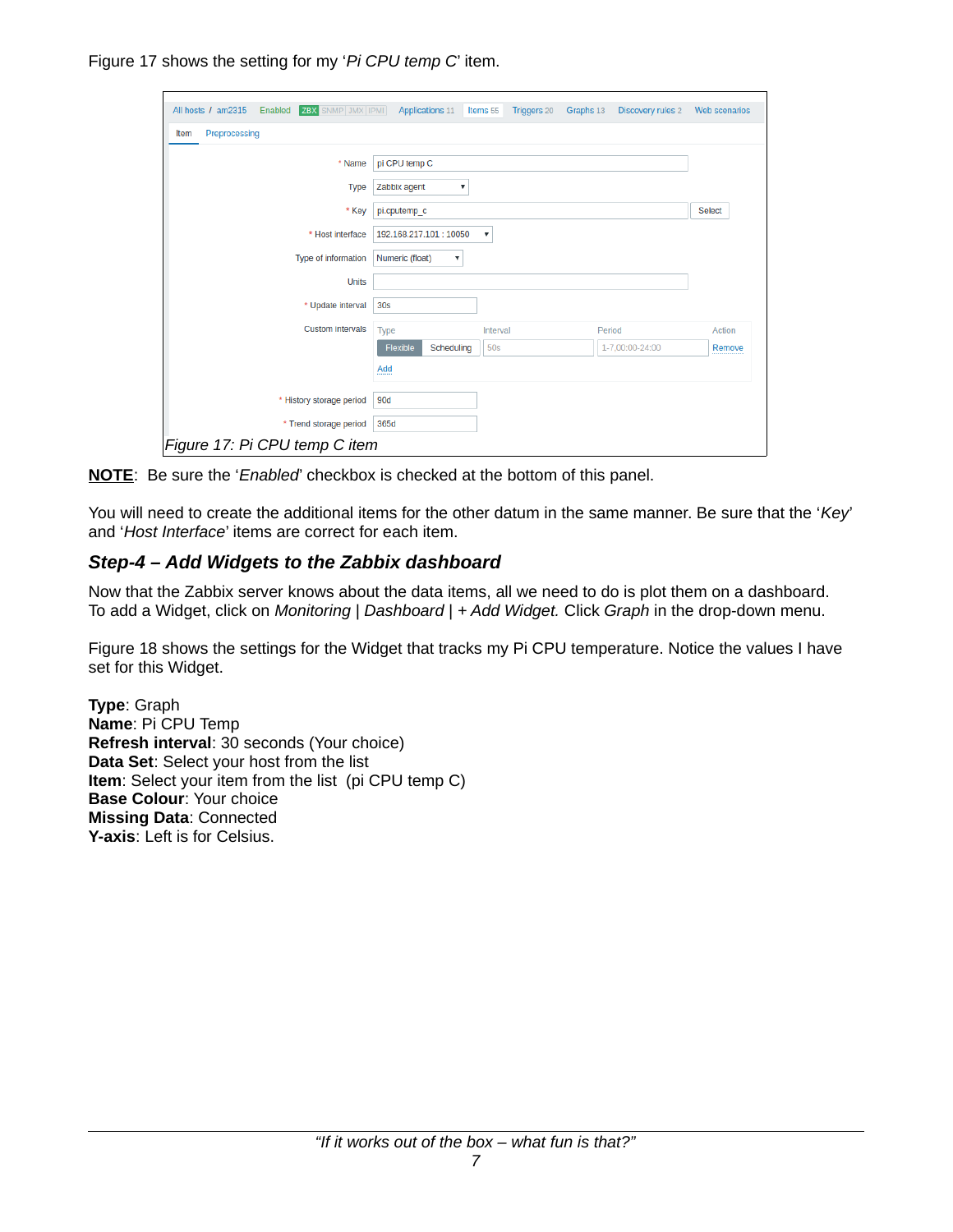Figure [17](#page-6-0) shows the setting for my '*Pi CPU temp C*' item.

| <b>ZBX</b> SNMP JMX IPMI<br>All hosts / am2315<br>Enabled | Applications 11                    | Items 55<br>Triggers 20   | Graphs 13<br>Discovery rules 2 | Web scenarios |
|-----------------------------------------------------------|------------------------------------|---------------------------|--------------------------------|---------------|
| Preprocessing<br>Item                                     |                                    |                           |                                |               |
| * Name                                                    | pi CPU temp C                      |                           |                                |               |
| <b>Type</b>                                               | Zabbix agent<br>$\pmb{\mathrm{v}}$ |                           |                                |               |
| * Key                                                     | pi.cputemp c                       |                           |                                | <b>Select</b> |
| * Host interface                                          | 192.168.217.101:10050              | $\boldsymbol{\mathrm{v}}$ |                                |               |
| Type of information                                       | Numeric (float)<br>v               |                           |                                |               |
| <b>Units</b>                                              |                                    |                           |                                |               |
| * Update interval                                         | 30 <sub>S</sub>                    |                           |                                |               |
| <b>Custom intervals</b>                                   | Type                               | Interval                  | Period                         | Action        |
|                                                           | Flexible<br>Scheduling             | 50s                       | 1-7,00:00-24:00                | Remove        |
|                                                           | Add                                |                           |                                |               |
| * History storage period                                  | 90d                                |                           |                                |               |
| * Trend storage period                                    | 365d                               |                           |                                |               |
| Figure 17: Pi CPU temp C item                             |                                    |                           |                                |               |

<span id="page-6-0"></span>**NOTE**: Be sure the '*Enabled*' checkbox is checked at the bottom of this panel.

You will need to create the additional items for the other datum in the same manner. Be sure that the '*Key*' and '*Host Interface*' items are correct for each item.

## *Step-4 – Add Widgets to the Zabbix dashboard*

Now that the Zabbix server knows about the data items, all we need to do is plot them on a dashboard. To add a Widget, click on *Monitoring | Dashboard | + Add Widget.* Click *Graph* in the drop-down menu.

Figure [18](#page-7-0) shows the settings for the Widget that tracks my Pi CPU temperature. Notice the values I have set for this Widget.

**Type**: Graph **Name**: Pi CPU Temp **Refresh interval**: 30 seconds (Your choice) **Data Set**: Select your host from the list **Item**: Select your item from the list (pi CPU temp C) **Base Colour**: Your choice **Missing Data**: Connected **Y-axis**: Left is for Celsius.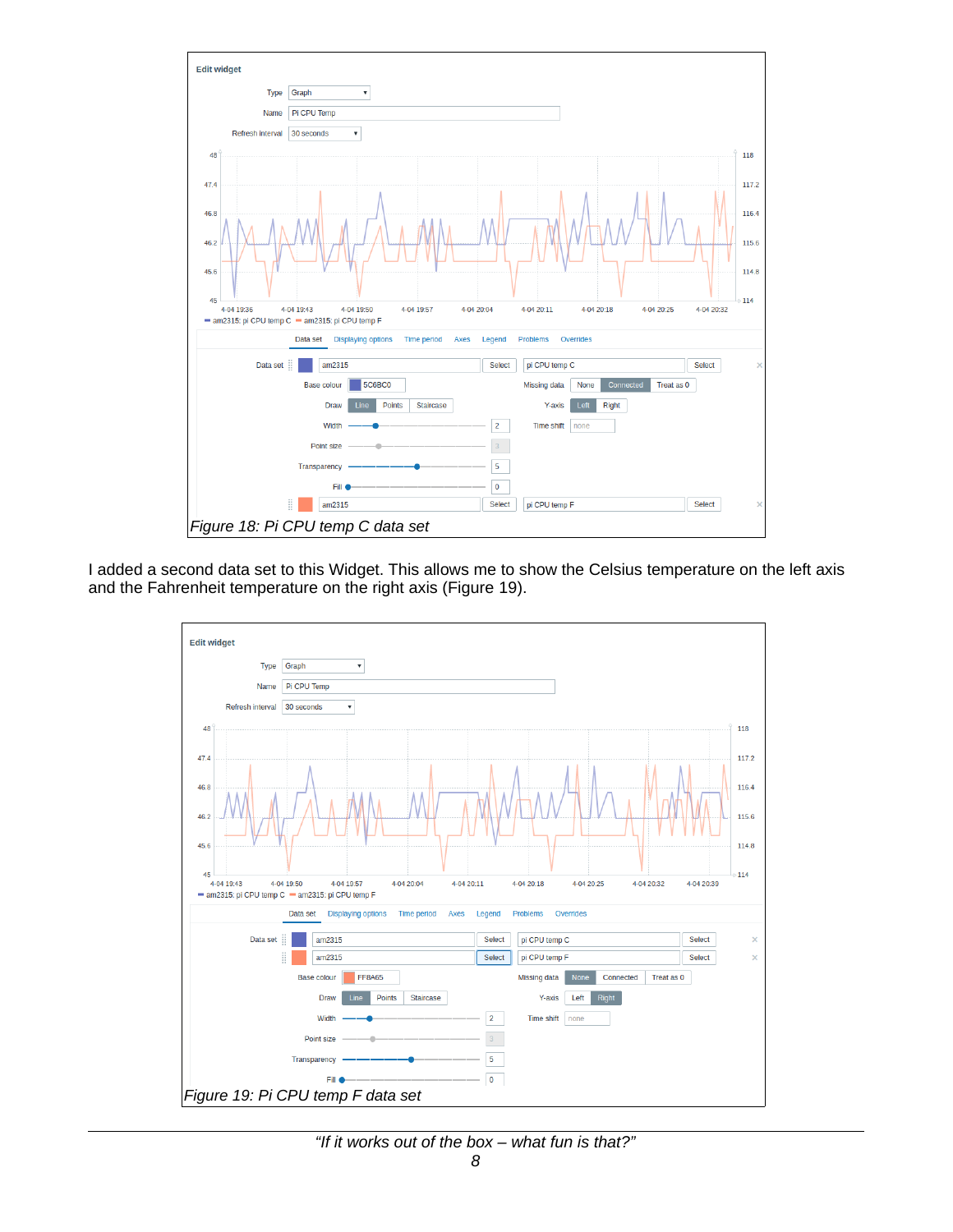

I added a second data set to this Widget. This allows me to show the Celsius temperature on the left axis and the Fahrenheit temperature on the right axis (Figure [19\)](#page-7-1).

<span id="page-7-1"></span><span id="page-7-0"></span>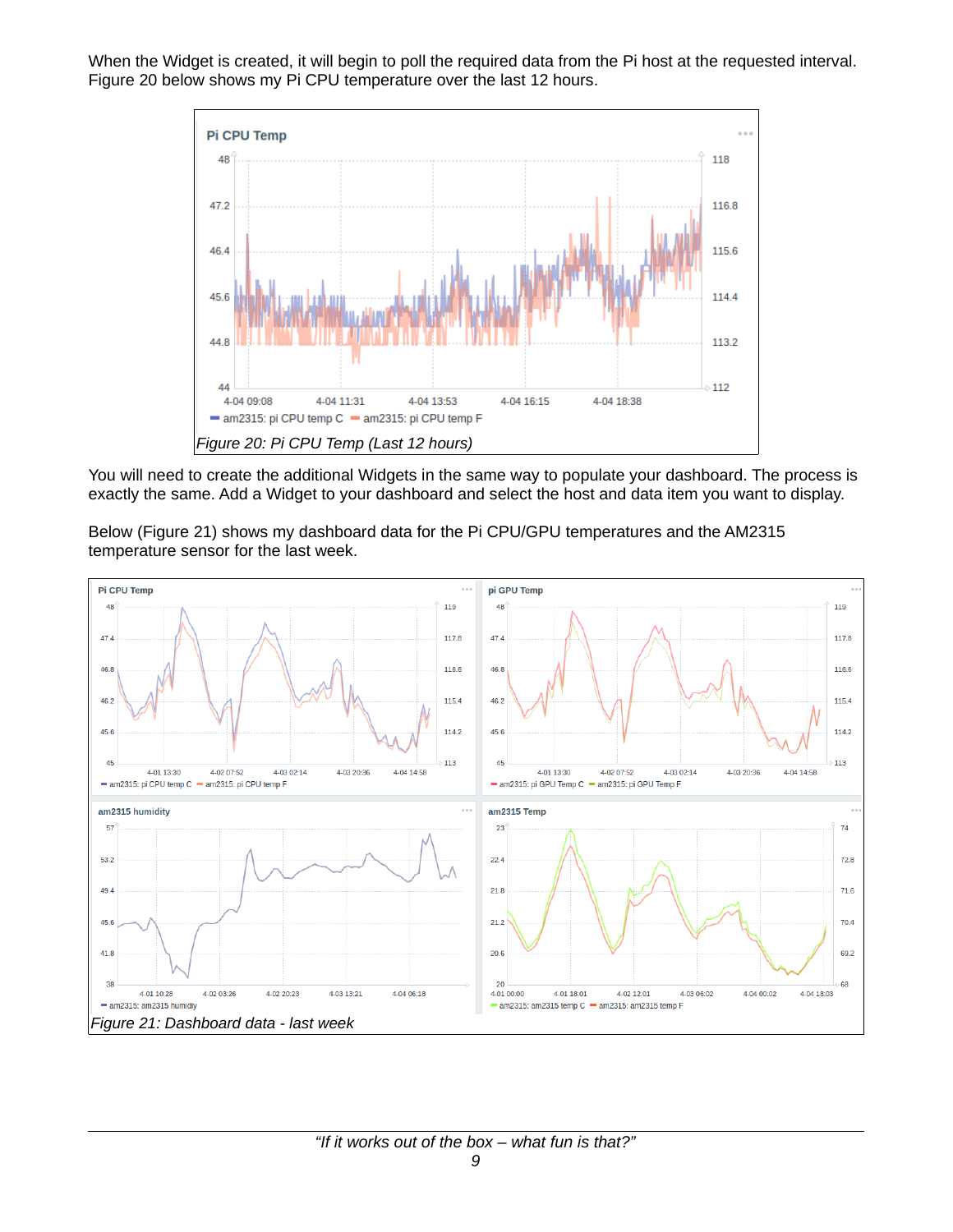When the Widget is created, it will begin to poll the required data from the Pi host at the requested interval. Figure [20](#page-8-1) below shows my Pi CPU temperature over the last 12 hours.



<span id="page-8-1"></span>You will need to create the additional Widgets in the same way to populate your dashboard. The process is exactly the same. Add a Widget to your dashboard and select the host and data item you want to display.

Below (Figure [21\)](#page-8-0) shows my dashboard data for the Pi CPU/GPU temperatures and the AM2315 temperature sensor for the last week.

<span id="page-8-0"></span>